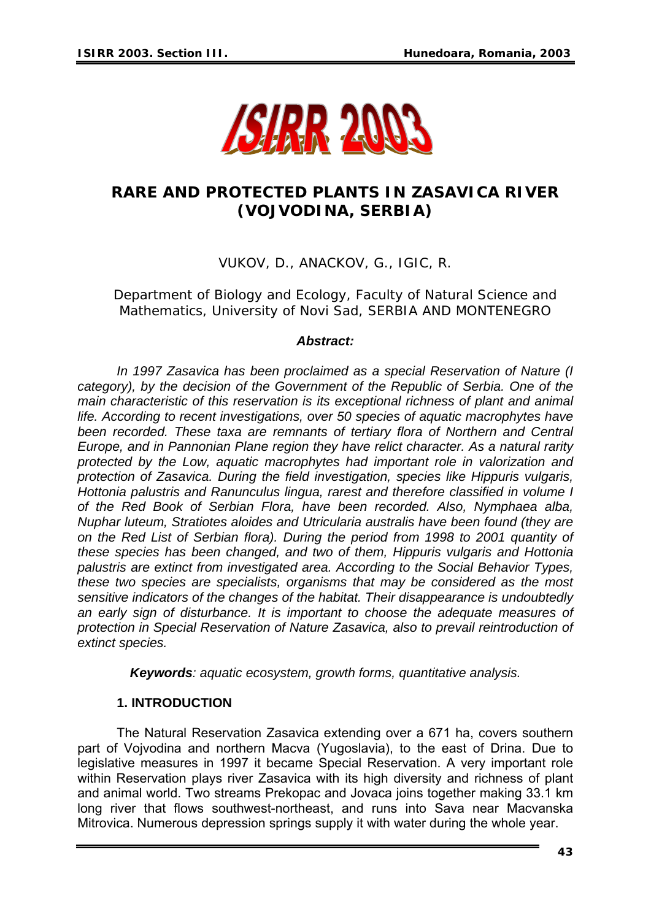

# **RARE AND PROTECTED PLANTS IN ZASAVICA RIVER (VOJVODINA, SERBIA)**

VUKOV, D., ANACKOV, G., IGIC, R.

Department of Biology and Ecology, Faculty of Natural Science and Mathematics, University of Novi Sad, SERBIA AND MONTENEGRO

#### *Abstract:*

 *In 1997 Zasavica has been proclaimed as a special Reservation of Nature (I category), by the decision of the Government of the Republic of Serbia. One of the main characteristic of this reservation is its exceptional richness of plant and animal life. According to recent investigations, over 50 species of aquatic macrophytes have*  been recorded. These taxa are remnants of tertiary flora of Northern and Central *Europe, and in Pannonian Plane region they have relict character. As a natural rarity protected by the Low, aquatic macrophytes had important role in valorization and protection of Zasavica. During the field investigation, species like Hippuris vulgaris, Hottonia palustris and Ranunculus lingua, rarest and therefore classified in volume I of the Red Book of Serbian Flora, have been recorded. Also, Nymphaea alba, Nuphar luteum, Stratiotes aloides and Utricularia australis have been found (they are on the Red List of Serbian flora). During the period from 1998 to 2001 quantity of these species has been changed, and two of them, Hippuris vulgaris and Hottonia palustris are extinct from investigated area. According to the Social Behavior Types, these two species are specialists, organisms that may be considered as the most sensitive indicators of the changes of the habitat. Their disappearance is undoubtedly an early sign of disturbance. It is important to choose the adequate measures of protection in Special Reservation of Nature Zasavica, also to prevail reintroduction of extinct species.* 

*Keywords: aquatic ecosystem, growth forms, quantitative analysis.* 

#### **1. INTRODUCTION**

 The Natural Reservation Zasavica extending over a 671 ha, covers southern part of Vojvodina and northern Macva (Yugoslavia), to the east of Drina. Due to legislative measures in 1997 it became Special Reservation. A very important role within Reservation plays river Zasavica with its high diversity and richness of plant and animal world. Two streams Prekopac and Jovaca joins together making 33.1 km long river that flows southwest-northeast, and runs into Sava near Macvanska Mitrovica. Numerous depression springs supply it with water during the whole year.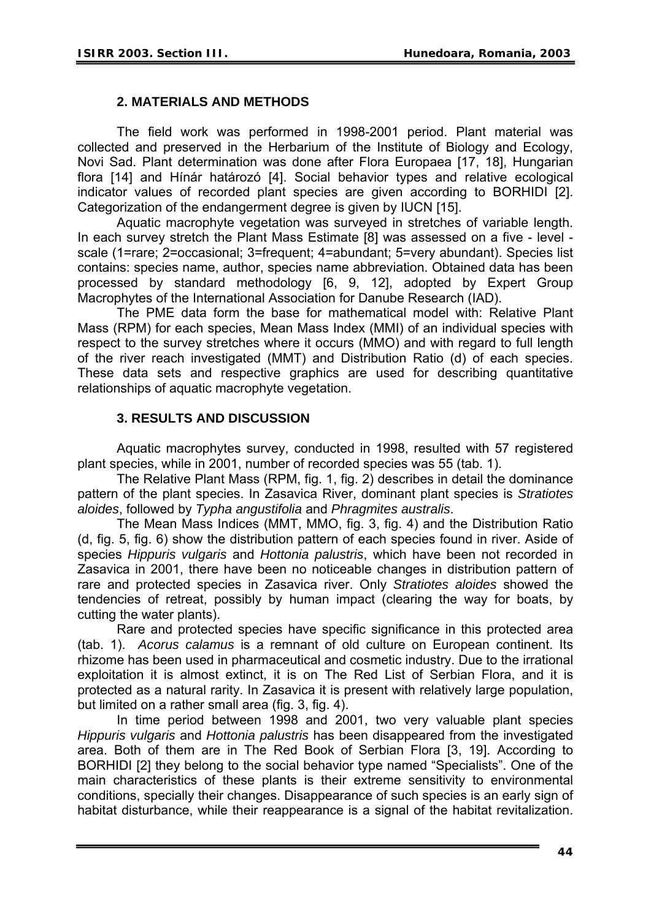#### **2. MATERIALS AND METHODS**

 The field work was performed in 1998-2001 period. Plant material was collected and preserved in the Herbarium of the Institute of Biology and Ecology, Novi Sad. Plant determination was done after Flora Europaea [17, 18], Hungarian flora [14] and Hínár határozó [4]. Social behavior types and relative ecological indicator values of recorded plant species are given according to BORHIDI [2]. Categorization of the endangerment degree is given by IUCN [15].

 Aquatic macrophyte vegetation was surveyed in stretches of variable length. In each survey stretch the Plant Mass Estimate [8] was assessed on a five - level scale (1=rare; 2=occasional; 3=frequent; 4=abundant; 5=very abundant). Species list contains: species name, author, species name abbreviation. Obtained data has been processed by standard methodology [6, 9, 12], adopted by Expert Group Macrophytes of the International Association for Danube Research (IAD).

 The PME data form the base for mathematical model with: Relative Plant Mass (RPM) for each species, Mean Mass Index (MMI) of an individual species with respect to the survey stretches where it occurs (MMO) and with regard to full length of the river reach investigated (MMT) and Distribution Ratio (d) of each species. These data sets and respective graphics are used for describing quantitative relationships of aquatic macrophyte vegetation.

## **3. RESULTS AND DISCUSSION**

 Aquatic macrophytes survey, conducted in 1998, resulted with 57 registered plant species, while in 2001, number of recorded species was 55 (tab. 1).

The Relative Plant Mass (RPM, fig. 1, fig. 2) describes in detail the dominance pattern of the plant species. In Zasavica River, dominant plant species is *Stratiotes aloides*, followed by *Typha angustifolia* and *Phragmites australis*.

The Mean Mass Indices (MMT, MMO, fig. 3, fig. 4) and the Distribution Ratio (d, fig. 5, fig. 6) show the distribution pattern of each species found in river. Aside of species *Hippuris vulgaris* and *Hottonia palustris*, which have been not recorded in Zasavica in 2001, there have been no noticeable changes in distribution pattern of rare and protected species in Zasavica river. Only *Stratiotes aloides* showed the tendencies of retreat, possibly by human impact (clearing the way for boats, by cutting the water plants).

Rare and protected species have specific significance in this protected area (tab. 1). *Acorus calamus* is a remnant of old culture on European continent. Its rhizome has been used in pharmaceutical and cosmetic industry. Due to the irrational exploitation it is almost extinct, it is on The Red List of Serbian Flora, and it is protected as a natural rarity. In Zasavica it is present with relatively large population, but limited on a rather small area (fig. 3, fig. 4).

In time period between 1998 and 2001, two very valuable plant species *Hippuris vulgaris* and *Hottonia palustris* has been disappeared from the investigated area. Both of them are in The Red Book of Serbian Flora [3, 19]. According to BORHIDI [2] they belong to the social behavior type named "Specialists". One of the main characteristics of these plants is their extreme sensitivity to environmental conditions, specially their changes. Disappearance of such species is an early sign of habitat disturbance, while their reappearance is a signal of the habitat revitalization.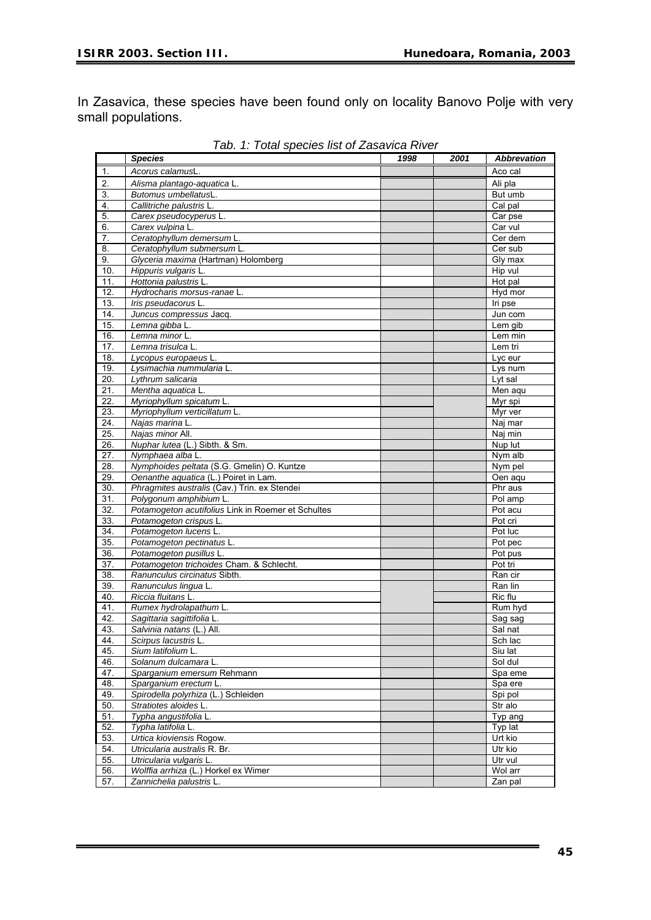In Zasavica, these species have been found only on locality Banovo Polje with very small populations.

|                   | <b>Species</b>                                                           | 1998 | 2001 | <b>Abbrevation</b>    |
|-------------------|--------------------------------------------------------------------------|------|------|-----------------------|
| $\mathbf 1$ .     | Acorus calamusL                                                          |      |      | Aco cal               |
| 2.                | Alisma plantago-aquatica L.                                              |      |      | Ali pla               |
| 3.                | Butomus umbellatusL.                                                     |      |      | But umb               |
| 4.                | Callitriche palustris L.                                                 |      |      | Cal pal               |
| 5.                | Carex pseudocyperus L.                                                   |      |      | Car pse               |
| 6.                | Carex vulpina L.                                                         |      |      | Car vul               |
| 7.                | Ceratophyllum demersum L.                                                |      |      | Cer dem               |
| 8.                | Ceratophyllum submersum L.                                               |      |      | Cer sub               |
| 9.                | Glyceria maxima (Hartman) Holomberg                                      |      |      | Gly max               |
| 10.               | Hippuris vulgaris L.                                                     |      |      | Hip vul               |
| 11.               | Hottonia palustris L.                                                    |      |      | Hot pal               |
| $\overline{12}$   | Hydrocharis morsus-ranae L                                               |      |      | Hyd mor               |
| 13.               | Iris pseudacorus L.                                                      |      |      | Iri pse               |
| 14.               | Juncus compressus Jacq                                                   |      |      | Jun com               |
| 15.               | Lemna gibba L.                                                           |      |      | Lem gib               |
| 16.               | Lemna minor L.                                                           |      |      | Lem min               |
| 17.               | Lemna trisulca L                                                         |      |      | Lem tri               |
| 18.               | Lycopus europaeus L.                                                     |      |      | Lyc eur               |
| 19.               | Lysimachia nummularia L.                                                 |      |      | Lys num               |
| 20.               | Lythrum salicaria                                                        |      |      | Lyt sal               |
| 21.               | Mentha aquatica L.                                                       |      |      | Men aqu               |
| 22.               | Myriophyllum spicatum L.                                                 |      |      | Myr spi               |
| 23.               | Myriophyllum verticillatum L.                                            |      |      | Myr ver               |
| 24.               | Najas marina L.                                                          |      |      | Naj mar               |
| 25.               | Najas minor All.                                                         |      |      | $\overline{N}$ aj min |
| 26.               | Nuphar lutea (L.) Sibth. & Sm.                                           |      |      | Nup lut               |
| 27.               | Nymphaea alba L.                                                         |      |      | Nym alb               |
| $\overline{28}$ . | Nymphoides peltata (S.G. Gmelin) O. Kuntze                               |      |      | Nym pel               |
| 29.               | Oenanthe aquatica (L.) Poiret in Lam.                                    |      |      | Oen aqu               |
| 30.               | Phragmites australis (Cav.) Trin. ex Stendei                             |      |      | Phr aus               |
| 31.               | Polygonum amphibium L.                                                   |      |      | Pol amp               |
| 32.               | Potamogeton acutifolius Link in Roemer et Schultes                       |      |      | Pot acu               |
| 33.               | Potamogeton crispus L.                                                   |      |      | Pot cri               |
| 34.               | Potamogeton lucens L.                                                    |      |      | Pot luc               |
| 35.               | Potamogeton pectinatus L.                                                |      |      | Pot pec               |
| 36.<br>37.        | Potamogeton pusillus L                                                   |      |      | Pot pus<br>Pot tri    |
| 38.               | Potamogeton trichoides Cham. & Schlecht.<br>Ranunculus circinatus Sibth. |      |      | Ran cir               |
| 39.               | Ranunculus lingua L                                                      |      |      | Ran lin               |
| 40.               | Riccia fluitans L                                                        |      |      | Ric flu               |
| 41.               | Rumex hydrolapathum L.                                                   |      |      | Rum hyd               |
| 42.               | Sagittaria sagittifolia L                                                |      |      | Sag sag               |
| 43.               | Salvinia natans (L.) All.                                                |      |      | Sal nat               |
| 44.               | Scirpus lacustris L.                                                     |      |      | Sch lac               |
| 45.               | Sium latifolium L.                                                       |      |      | Siu lat               |
| 46.               | Solanum dulcamara L.                                                     |      |      | Sol dul               |
| 47.               | Sparganium emersum Rehmann                                               |      |      | Spa eme               |
| 48.               | Sparganium erectum L.                                                    |      |      | Spa ere               |
| 49.               | Spirodella polyrhiza (L.) Schleiden                                      |      |      | Spi pol               |
| 50.               | Stratiotes aloides L.                                                    |      |      | Str alo               |
| 51.               | Typha angustifolia L.                                                    |      |      | Typ ang               |
| 52.               | Typha latifolia L.                                                       |      |      | Typ lat               |
| 53.               | Urtica kioviensis Rogow.                                                 |      |      | Urt kio               |
| 54.               | Utricularia australis R. Br.                                             |      |      | Utr kio               |
| 55.               | Utricularia vulgaris L.                                                  |      |      | Utr vul               |
| 56.               | Wolffia arrhiza (L.) Horkel ex Wimer                                     |      |      | Wol arr               |
| 57.               | Zannichelia palustris L.                                                 |      |      | Zan pal               |

*Tab. 1: Total species list of Zasavica River*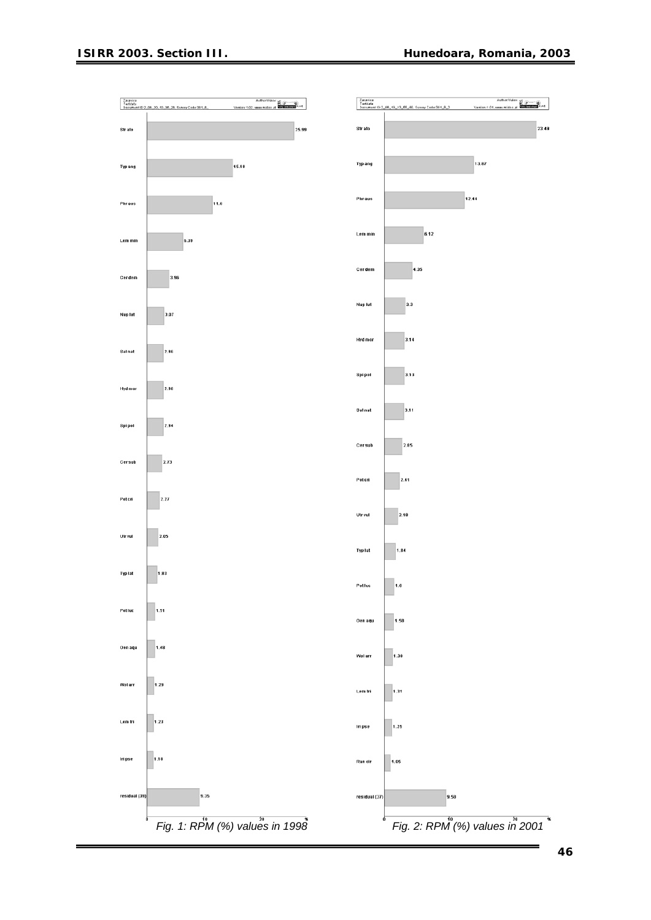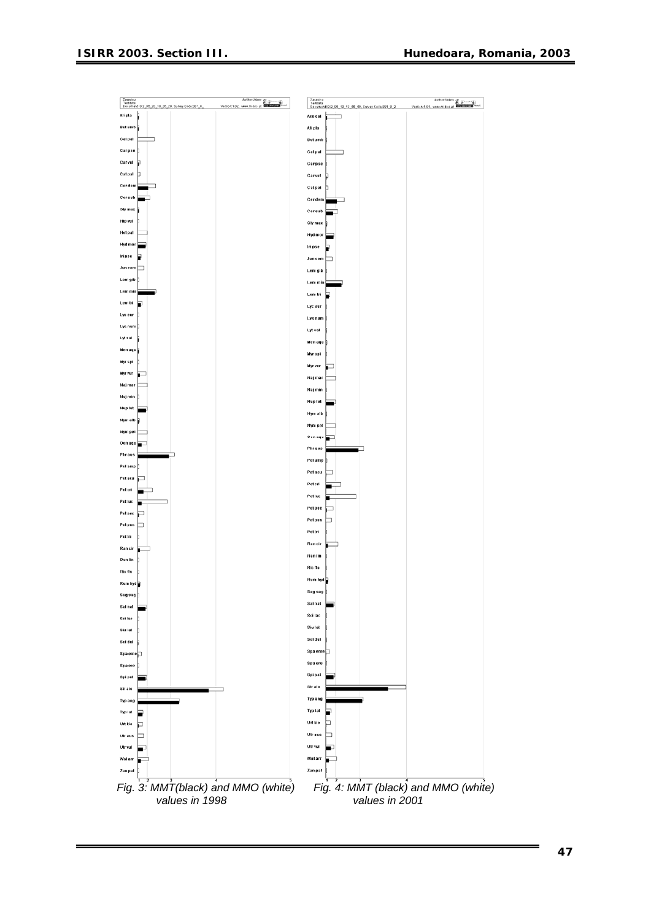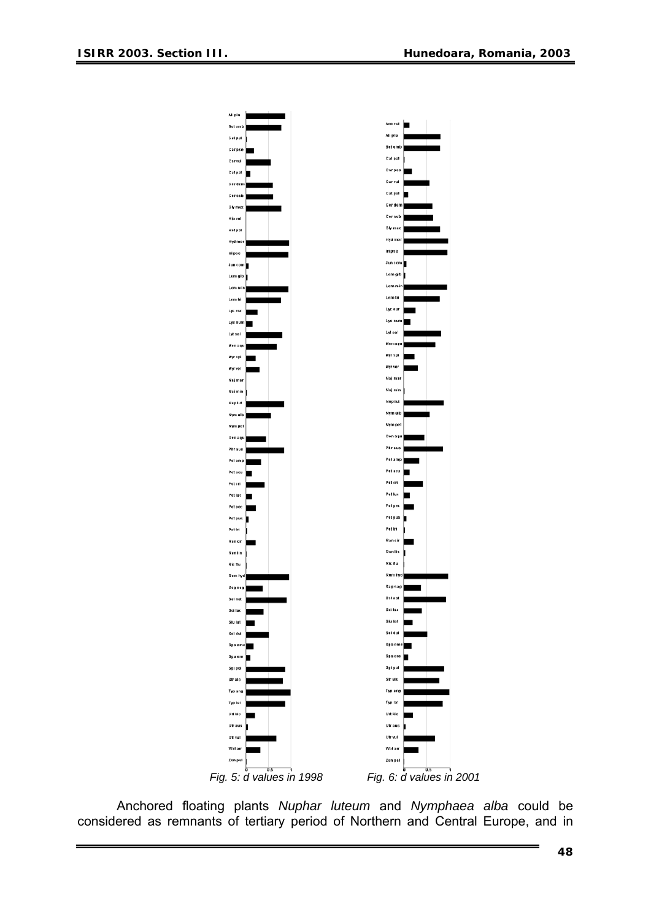

Anchored floating plants *Nuphar luteum* and *Nymphaea alba* could be considered as remnants of tertiary period of Northern and Central Europe, and in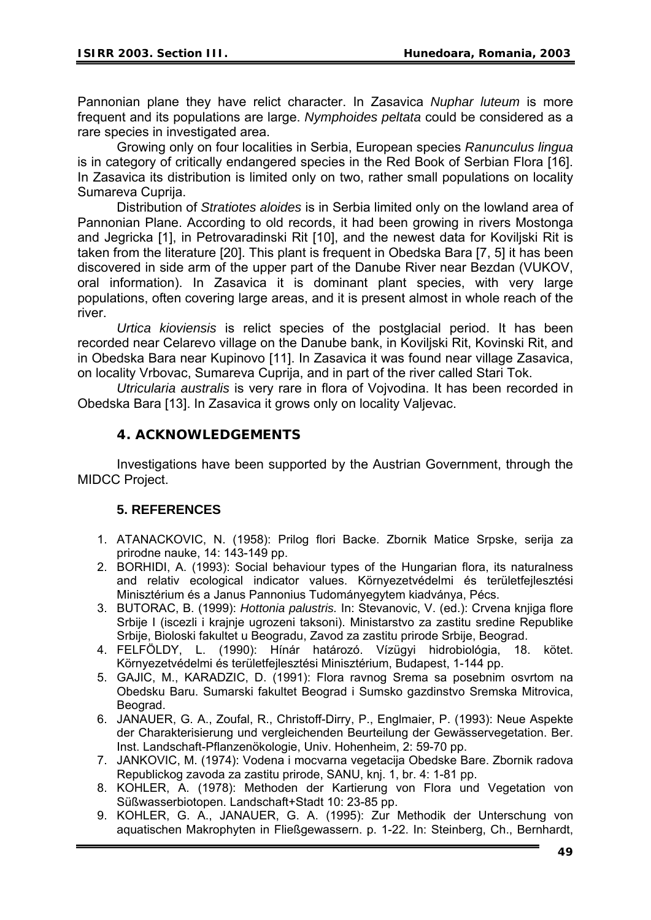Pannonian plane they have relict character. In Zasavica *Nuphar luteum* is more frequent and its populations are large. *Nymphoides peltata* could be considered as a rare species in investigated area.

Growing only on four localities in Serbia, European species *Ranunculus lingua* is in category of critically endangered species in the Red Book of Serbian Flora [16]. In Zasavica its distribution is limited only on two, rather small populations on locality Sumareva Cuprija.

Distribution of *Stratiotes aloides* is in Serbia limited only on the lowland area of Pannonian Plane. According to old records, it had been growing in rivers Mostonga and Jegricka [1], in Petrovaradinski Rit [10], and the newest data for Koviljski Rit is taken from the literature [20]. This plant is frequent in Obedska Bara [7, 5] it has been discovered in side arm of the upper part of the Danube River near Bezdan (VUKOV, oral information). In Zasavica it is dominant plant species, with very large populations, often covering large areas, and it is present almost in whole reach of the river.

*Urtica kioviensis* is relict species of the postglacial period. It has been recorded near Celarevo village on the Danube bank, in Koviljski Rit, Kovinski Rit, and in Obedska Bara near Kupinovo [11]. In Zasavica it was found near village Zasavica, on locality Vrbovac, Sumareva Cuprija, and in part of the river called Stari Tok.

*Utricularia australis* is very rare in flora of Vojvodina. It has been recorded in Obedska Bara [13]. In Zasavica it grows only on locality Valjevac.

#### **4. ACKNOWLEDGEMENTS**

 Investigations have been supported by the Austrian Government, through the MIDCC Project.

## **5. REFERENCES**

- 1. ATANACKOVIC, N. (1958): Prilog flori Backe. Zbornik Matice Srpske, serija za prirodne nauke, 14: 143-149 pp.
- 2. BORHIDI, A. (1993): Social behaviour types of the Hungarian flora, its naturalness and relativ ecological indicator values. Környezetvédelmi és területfejlesztési Minisztérium és a Janus Pannonius Tudományegytem kiadványa, Pécs.
- 3. BUTORAC, B. (1999): *Hottonia palustris.* In: Stevanovic, V. (ed.): Crvena knjiga flore Srbije I (iscezli i krajnje ugrozeni taksoni). Ministarstvo za zastitu sredine Republike Srbije, Bioloski fakultet u Beogradu, Zavod za zastitu prirode Srbije, Beograd.
- 4. FELFÖLDY, L. (1990): Hínár határozó. Vízügyi hidrobiológia, 18. kötet. Környezetvédelmi és területfejlesztési Minisztérium, Budapest, 1-144 pp.
- 5. GAJIC, M., KARADZIC, D. (1991): Flora ravnog Srema sa posebnim osvrtom na Obedsku Baru. Sumarski fakultet Beograd i Sumsko gazdinstvo Sremska Mitrovica, Beograd.
- 6. JANAUER, G. A., Zoufal, R., Christoff-Dirry, P., Englmaier, P. (1993): Neue Aspekte der Charakterisierung und vergleichenden Beurteilung der Gewässervegetation. Ber. Inst. Landschaft-Pflanzenökologie, Univ. Hohenheim, 2: 59-70 pp.
- 7. JANKOVIC, M. (1974): Vodena i mocvarna vegetacija Obedske Bare. Zbornik radova Republickog zavoda za zastitu prirode, SANU, knj. 1, br. 4: 1-81 pp.
- 8. KOHLER, A. (1978): Methoden der Kartierung von Flora und Vegetation von Süßwasserbiotopen. Landschaft+Stadt 10: 23-85 pp.
- 9. KOHLER, G. A., JANAUER, G. A. (1995): Zur Methodik der Unterschung von aquatischen Makrophyten in Fließgewassern. p. 1-22. In: Steinberg, Ch., Bernhardt,